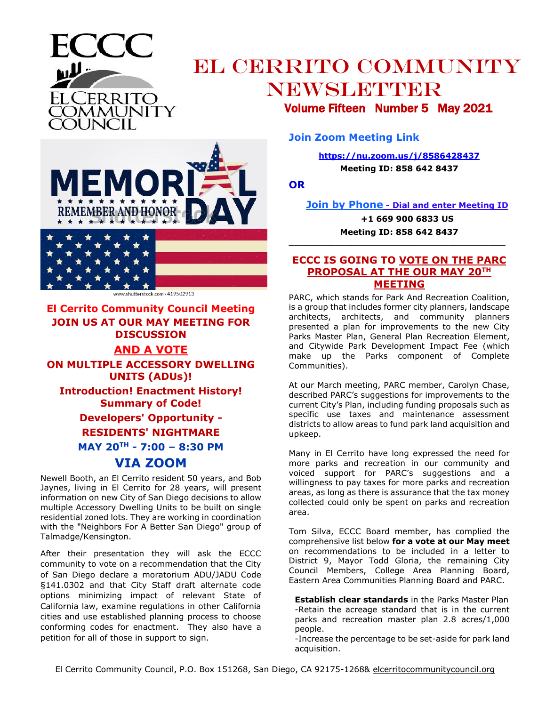

# EL CERRITO COMMUNITY NEWSLETTER Volume Fifteen Number 5 May 2021

**MEMOR REMEMBER AND HONOR-**

hutterstock.com - 419502913

### **El Cerrito Community Council Meeting JOIN US AT OUR MAY MEETING FOR DISCUSSION AND A VOTE ON MULTIPLE ACCESSORY DWELLING**

**UNITS (ADUs)! Introduction! Enactment History! Summary of Code! Developers' Opportunity - RESIDENTS' NIGHTMARE MAY 20TH - 7:00 – 8:30 PM**

## **VIA ZOOM**

Newell Booth, an El Cerrito resident 50 years, and Bob Jaynes, living in El Cerrito for 28 years, will present information on new City of San Diego decisions to allow multiple Accessory Dwelling Units to be built on single residential zoned lots. They are working in coordination with the "Neighbors For A Better San Diego" group of Talmadge/Kensington.

After their presentation they will ask the ECCC community to vote on a recommendation that the City of San Diego declare a moratorium ADU/JADU Code §141.0302 and that City Staff draft alternate code options minimizing impact of relevant State of California law, examine regulations in other California cities and use established planning process to choose conforming codes for enactment. They also have a petition for all of those in support to sign.

**Join Zoom Meeting Link**

**<https://nu.zoom.us/j/8586428437>**

**Meeting ID: 858 642 8437**

**OR**

**Join by Phone - Dial and enter Meeting ID**

**+1 669 900 6833 US Meeting ID: 858 642 8437**

#### **ECCC IS GOING TO VOTE ON THE PARC PROPOSAL AT THE OUR MAY 20TH MEETING**

**\_\_\_\_\_\_\_\_\_\_\_\_\_\_\_\_\_\_\_\_\_\_\_\_\_\_\_\_\_\_\_\_\_\_\_\_\_\_**

PARC, which stands for Park And Recreation Coalition, is a group that includes former city planners, landscape architects, architects, and community planners presented a plan for improvements to the new City Parks Master Plan, General Plan Recreation Element, and Citywide Park Development Impact Fee (which make up the Parks component of Complete Communities).

At our March meeting, PARC member, Carolyn Chase, described PARC's suggestions for improvements to the current City's Plan, including funding proposals such as specific use taxes and maintenance assessment districts to allow areas to fund park land acquisition and upkeep.

Many in El Cerrito have long expressed the need for more parks and recreation in our community and voiced support for PARC's suggestions and a willingness to pay taxes for more parks and recreation areas, as long as there is assurance that the tax money collected could only be spent on parks and recreation area.

Tom Silva, ECCC Board member, has complied the comprehensive list below **for a vote at our May meet** on recommendations to be included in a letter to District 9, Mayor Todd Gloria, the remaining City Council Members, College Area Planning Board, Eastern Area Communities Planning Board and PARC.

**Establish clear standards** in the Parks Master Plan -Retain the acreage standard that is in the current parks and recreation master plan 2.8 acres/1,000 people.

-Increase the percentage to be set-aside for park land acquisition.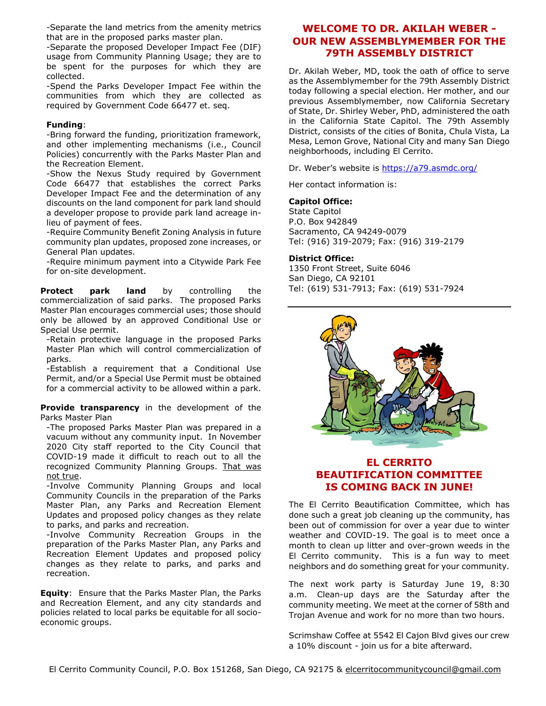-Separate the land metrics from the amenity metrics that are in the proposed parks master plan.

-Separate the proposed Developer Impact Fee (DIF) usage from Community Planning Usage; they are to be spent for the purposes for which they are collected.

-Spend the Parks Developer Impact Fee within the communities from which they are collected as required by Government Code 66477 et. seq.

#### **Funding**:

-Bring forward the funding, prioritization framework, and other implementing mechanisms (i.e., Council Policies) concurrently with the Parks Master Plan and the Recreation Element.

-Show the Nexus Study required by Government Code 66477 that establishes the correct Parks Developer Impact Fee and the determination of any discounts on the land component for park land should a developer propose to provide park land acreage inlieu of payment of fees.

-Require Community Benefit Zoning Analysis in future community plan updates, proposed zone increases, or General Plan updates.

-Require minimum payment into a Citywide Park Fee for on-site development.

**Protect park land** by controlling the commercialization of said parks. The proposed Parks Master Plan encourages commercial uses; those should only be allowed by an approved Conditional Use or Special Use permit.

-Retain protective language in the proposed Parks Master Plan which will control commercialization of parks.

-Establish a requirement that a Conditional Use Permit, and/or a Special Use Permit must be obtained for a commercial activity to be allowed within a park.

**Provide transparency** in the development of the Parks Master Plan

-The proposed Parks Master Plan was prepared in a vacuum without any community input. In November 2020 City staff reported to the City Council that COVID-19 made it difficult to reach out to all the recognized Community Planning Groups. That was not true.

-Involve Community Planning Groups and local Community Councils in the preparation of the Parks Master Plan, any Parks and Recreation Element Updates and proposed policy changes as they relate to parks, and parks and recreation.

-Involve Community Recreation Groups in the preparation of the Parks Master Plan, any Parks and Recreation Element Updates and proposed policy changes as they relate to parks, and parks and recreation.

**Equity**: Ensure that the Parks Master Plan, the Parks and Recreation Element, and any city standards and policies related to local parks be equitable for all socioeconomic groups.

### **WELCOME TO DR. AKILAH WEBER - OUR NEW ASSEMBLYMEMBER FOR THE 79TH ASSEMBLY DISTRICT**

Dr. Akilah Weber, MD, took the oath of office to serve as the Assemblymember for the 79th Assembly District today following a special election. Her mother, and our previous Assemblymember, now California Secretary of State, Dr. Shirley Weber, PhD, administered the oath in the California State Capitol. The 79th Assembly District, consists of the cities of Bonita, Chula Vista, La Mesa, Lemon Grove, National City and many San Diego neighborhoods, including El Cerrito.

Dr. Weber's website is<https://a79.asmdc.org/>

Her contact information is:

#### **Capitol Office:**

State Capitol P.O. Box 942849 Sacramento, CA 94249-0079 Tel: (916) 319-2079; Fax: (916) 319-2179

#### **District Office:**

1350 Front Street, Suite 6046 San Diego, CA 92101 Tel: (619) 531-7913; Fax: (619) 531-7924



### **EL CERRITO BEAUTIFICATION COMMITTEE IS COMING BACK IN JUNE!**

The El Cerrito Beautification Committee, which has done such a great job cleaning up the community, has been out of commission for over a year due to winter weather and COVID-19. The goal is to meet once a month to clean up litter and over-grown weeds in the El Cerrito community. This is a fun way to meet neighbors and do something great for your community.

The next work party is Saturday June 19, 8:30 a.m. Clean-up days are the Saturday after the community meeting. We meet at the corner of 58th and Trojan Avenue and work for no more than two hours.

Scrimshaw Coffee at 5542 El Cajon Blvd gives our crew a 10% discount - join us for a bite afterward.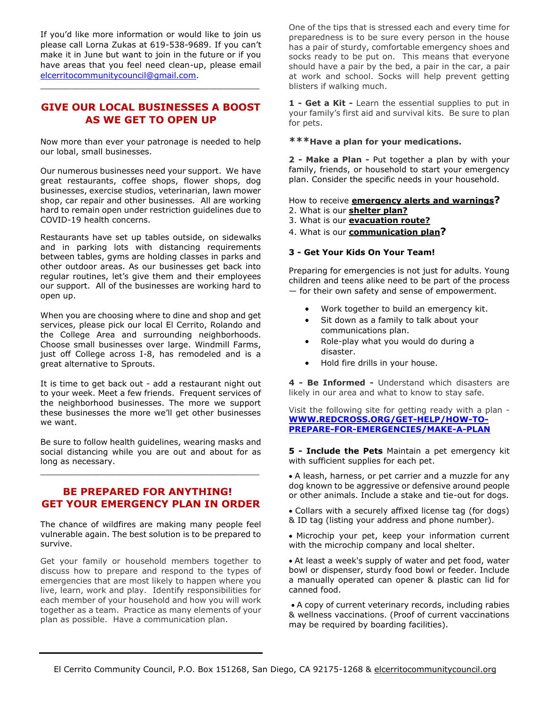If you'd like more information or would like to join us please call Lorna Zukas at 619-538-9689. If you can't make it in June but want to join in the future or if you have areas that you feel need clean-up, please email [elcerritocommunitycouncil@gmail.com.](mailto:elcerritocommunitycouncil@gmail.com)

#### **GIVE OUR LOCAL BUSINESSES A BOOST AS WE GET TO OPEN UP**

\_\_\_\_\_\_\_\_\_\_\_\_\_\_\_\_\_\_\_\_\_\_\_\_\_\_\_\_\_\_\_\_\_\_\_\_\_\_\_\_\_\_\_

Now more than ever your patronage is needed to help our lobal, small businesses.

Our numerous businesses need your support. We have great restaurants, coffee shops, flower shops, dog businesses, exercise studios, veterinarian, lawn mower shop, car repair and other businesses. All are working hard to remain open under restriction guidelines due to COVID-19 health concerns.

Restaurants have set up tables outside, on sidewalks and in parking lots with distancing requirements between tables, gyms are holding classes in parks and other outdoor areas. As our businesses get back into regular routines, let's give them and their employees our support. All of the businesses are working hard to open up.

When you are choosing where to dine and shop and get services, please pick our local El Cerrito, Rolando and the College Area and surrounding neighborhoods. Choose small businesses over large. Windmill Farms, just off College across I-8, has remodeled and is a great alternative to Sprouts.

It is time to get back out - add a restaurant night out to your week. Meet a few friends. Frequent services of the neighborhood businesses. The more we support these businesses the more we'll get other businesses we want.

Be sure to follow health guidelines, wearing masks and social distancing while you are out and about for as long as necessary.

\_\_\_\_\_\_\_\_\_\_\_\_\_\_\_\_\_\_\_\_\_\_\_\_\_\_\_\_\_\_\_\_\_\_\_\_\_\_\_\_\_\_\_

#### **BE PREPARED FOR ANYTHING! GET YOUR EMERGENCY PLAN IN ORDER**

The chance of wildfires are making many people feel vulnerable again. The best solution is to be prepared to survive.

Get your family or household members together to discuss how to prepare and respond to the types of emergencies that are most likely to happen where you live, learn, work and play. Identify responsibilities for each member of your household and how you will work together as a team. Practice as many elements of your plan as possible. Have a communication plan.

One of the tips that is stressed each and every time for preparedness is to be sure every person in the house has a pair of sturdy, comfortable emergency shoes and socks ready to be put on. This means that everyone should have a pair by the bed, a pair in the car, a pair at work and school. Socks will help prevent getting blisters if walking much.

**1 - Get a Kit -** Learn the essential supplies to put in your family's first aid and survival kits. Be sure to plan for pets.

#### **\*\*\*Have a plan for your medications.**

**2 - Make a Plan -** Put together a plan by with your family, friends, or household to start your emergency plan. Consider the specific needs in your household.

How to receive **[emergency alerts and warnings](http://www.ready.gov/alerts)?**

- 2. What is our **[shelter](http://www.ready.gov/shelter) plan?**
- 3. What is our **[evacuation](http://www.ready.gov/evacuation) route?**
- 4. What is our **[communication plan](http://www.ready.gov/make-a-plan)?**

#### **3 - Get Your Kids On Your Team!**

Preparing for emergencies is not just for adults. Young children and teens alike need to be part of the process — for their own safety and sense of empowerment.

- Work together to build an emergency kit.
- Sit down as a family to talk about your communications plan.
- Role-play what you would do during a disaster.
- Hold fire drills in your house.

**4 - Be Informed -** Understand which disasters are likely in our area and what to know to stay safe.

Visit the following site for getting ready with a plan - **[WWW.REDCROSS.ORG/GET-HELP/HOW-TO-](http://www.redcross.org/get-help/how-to-prepare-for-emergencies/make-a-plan)[PREPARE-FOR-EMERGENCIES/MAKE-A-PLAN](http://www.redcross.org/get-help/how-to-prepare-for-emergencies/make-a-plan)**

**5 - Include the Pets** Maintain a pet emergency kit with sufficient supplies for each pet.

- A leash, harness, or pet carrier and a muzzle for any dog known to be aggressive or defensive around people or other animals. Include a stake and tie-out for dogs.
- Collars with a securely affixed license tag (for dogs) & ID tag (listing your address and phone number).
- Microchip your pet, keep your information current with the microchip company and local shelter.
- At least a week's supply of water and pet food, water bowl or dispenser, sturdy food bowl or feeder. Include a manually operated can opener & plastic can lid for canned food.
- A copy of current veterinary records, including rabies & wellness vaccinations. (Proof of current vaccinations may be required by boarding facilities).